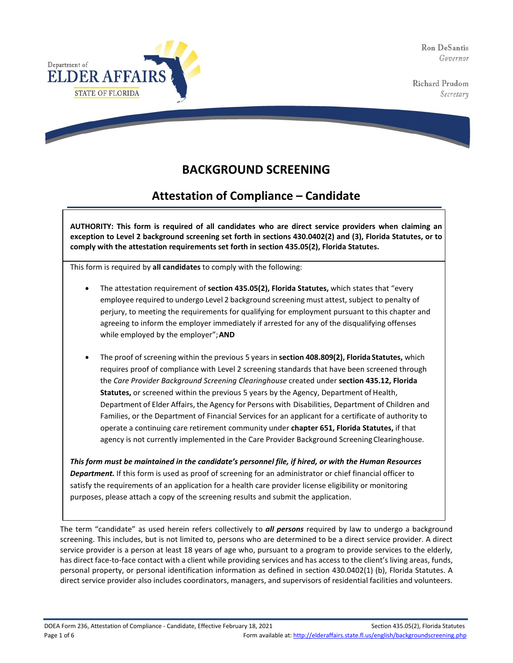Ron DeSantis Governor

Richard Prudom Secretary



# **BACKGROUND SCREENING**

# **Attestation of Compliance – Candidate**

**AUTHORITY: This form is required of all candidates who are direct service providers when claiming an exception to Level 2 background screening set forth in sections 430.0402(2) and (3), Florida Statutes, or to comply with the attestation requirements set forth in section 435.05(2), Florida Statutes.**

This form is required by **all candidates** to comply with the following:

- The attestation requirement of **section 435.05(2), Florida Statutes,** which states that "every employee required to undergo Level 2 background screening must attest, subject to penalty of perjury, to meeting the requirements for qualifying for employment pursuant to this chapter and agreeing to inform the employer immediately if arrested for any of the disqualifying offenses while employed by the employer";**AND**
- The proof of screening within the previous 5 years in **section 408.809(2), Florida Statutes,** which requires proof of compliance with Level 2 screening standards that have been screened through the *Care Provider Background Screening Clearinghouse* created under **section 435.12, Florida Statutes,** or screened within the previous 5 years by the Agency, Department of Health, Department of Elder Affairs, the Agency for Persons with Disabilities, Department of Children and Families, or the Department of Financial Services for an applicant for a certificate of authority to operate a continuing care retirement community under **chapter 651, Florida Statutes,** if that agency is not currently implemented in the Care Provider Background Screening Clearinghouse.

*This form must be maintained in the candidate's personnel file, if hired, or with the Human Resources Department.* If this form is used as proof of screening for an administrator or chief financial officer to satisfy the requirements of an application for a health care provider license eligibility or monitoring purposes, please attach a copy of the screening results and submit the application.

The term "candidate" as used herein refers collectively to *all persons* required by law to undergo a background screening. This includes, but is not limited to, persons who are determined to be a direct service provider. A direct service provider is a person at least 18 years of age who, pursuant to a program to provide services to the elderly, has direct face-to-face contact with a client while providing services and has access to the client's living areas, funds, personal property, or personal identification information as defined in section 430.0402(1) (b), Florida Statutes. A direct service provider also includes coordinators, managers, and supervisors of residential facilities and volunteers.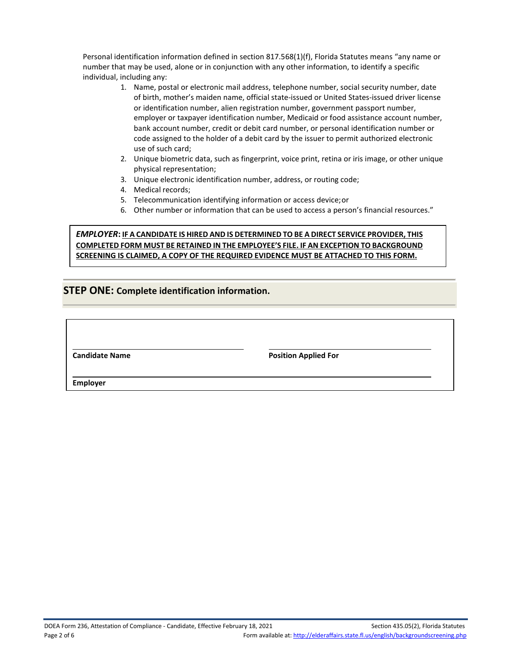Personal identification information defined in section 817.568(1)(f), Florida Statutes means "any name or number that may be used, alone or in conjunction with any other information, to identify a specific individual, including any:

- 1. Name, postal or electronic mail address, telephone number, social security number, date of birth, mother's maiden name, official state-issued or United States-issued driver license or identification number, alien registration number, government passport number, employer or taxpayer identification number, Medicaid or food assistance account number, bank account number, credit or debit card number, or personal identification number or code assigned to the holder of a debit card by the issuer to permit authorized electronic use of such card;
- 2. Unique biometric data, such as fingerprint, voice print, retina or iris image, or other unique physical representation;
- 3. Unique electronic identification number, address, or routing code;
- 4. Medical records;
- 5. Telecommunication identifying information or access device;or
- 6. Other number or information that can be used to access a person's financial resources."

#### *EMPLOYER***: IF A CANDIDATE IS HIRED AND IS DETERMINED TO BE A DIRECT SERVICE PROVIDER, THIS COMPLETED FORM MUST BE RETAINED IN THE EMPLOYEE'S FILE. IF AN EXCEPTION TO BACKGROUND SCREENING IS CLAIMED, A COPY OF THE REQUIRED EVIDENCE MUST BE ATTACHED TO THIS FORM.**

### **STEP ONE: Complete identification information.**

**Candidate Name Position Applied For**

**Employer**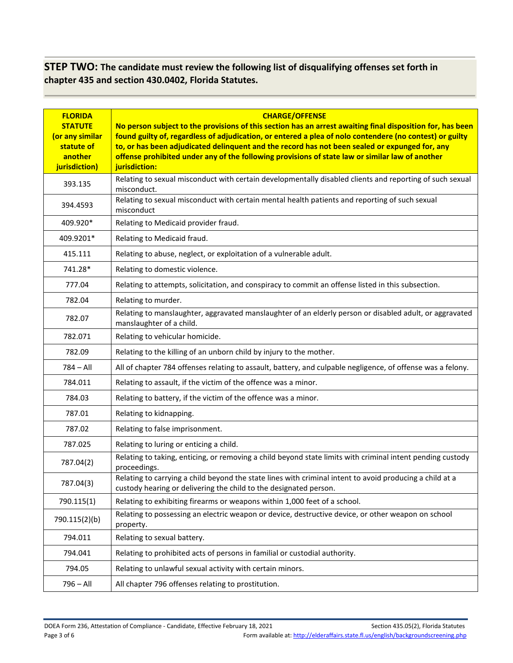## **STEP TWO: The candidate must review the following list of disqualifying offenses set forth in chapter 435 and section 430.0402, Florida Statutes.**

| <b>FLORIDA</b><br><b>STATUTE</b><br>(or any similar<br>statute of<br>another<br>jurisdiction) | <b>CHARGE/OFFENSE</b><br>No person subject to the provisions of this section has an arrest awaiting final disposition for, has been<br>found guilty of, regardless of adjudication, or entered a plea of nolo contendere (no contest) or guilty<br>to, or has been adjudicated delinquent and the record has not been sealed or expunged for, any<br>offense prohibited under any of the following provisions of state law or similar law of another<br>jurisdiction: |  |
|-----------------------------------------------------------------------------------------------|-----------------------------------------------------------------------------------------------------------------------------------------------------------------------------------------------------------------------------------------------------------------------------------------------------------------------------------------------------------------------------------------------------------------------------------------------------------------------|--|
| 393.135                                                                                       | Relating to sexual misconduct with certain developmentally disabled clients and reporting of such sexual<br>misconduct.                                                                                                                                                                                                                                                                                                                                               |  |
| 394.4593                                                                                      | Relating to sexual misconduct with certain mental health patients and reporting of such sexual<br>misconduct                                                                                                                                                                                                                                                                                                                                                          |  |
| 409.920*                                                                                      | Relating to Medicaid provider fraud.                                                                                                                                                                                                                                                                                                                                                                                                                                  |  |
| 409.9201*                                                                                     | Relating to Medicaid fraud.                                                                                                                                                                                                                                                                                                                                                                                                                                           |  |
| 415.111                                                                                       | Relating to abuse, neglect, or exploitation of a vulnerable adult.                                                                                                                                                                                                                                                                                                                                                                                                    |  |
| 741.28*                                                                                       | Relating to domestic violence.                                                                                                                                                                                                                                                                                                                                                                                                                                        |  |
| 777.04                                                                                        | Relating to attempts, solicitation, and conspiracy to commit an offense listed in this subsection.                                                                                                                                                                                                                                                                                                                                                                    |  |
| 782.04                                                                                        | Relating to murder.                                                                                                                                                                                                                                                                                                                                                                                                                                                   |  |
| 782.07                                                                                        | Relating to manslaughter, aggravated manslaughter of an elderly person or disabled adult, or aggravated<br>manslaughter of a child.                                                                                                                                                                                                                                                                                                                                   |  |
| 782.071                                                                                       | Relating to vehicular homicide.                                                                                                                                                                                                                                                                                                                                                                                                                                       |  |
| 782.09                                                                                        | Relating to the killing of an unborn child by injury to the mother.                                                                                                                                                                                                                                                                                                                                                                                                   |  |
| $784 - All$                                                                                   | All of chapter 784 offenses relating to assault, battery, and culpable negligence, of offense was a felony.                                                                                                                                                                                                                                                                                                                                                           |  |
| 784.011                                                                                       | Relating to assault, if the victim of the offence was a minor.                                                                                                                                                                                                                                                                                                                                                                                                        |  |
| 784.03                                                                                        | Relating to battery, if the victim of the offence was a minor.                                                                                                                                                                                                                                                                                                                                                                                                        |  |
| 787.01                                                                                        | Relating to kidnapping.                                                                                                                                                                                                                                                                                                                                                                                                                                               |  |
| 787.02                                                                                        | Relating to false imprisonment.                                                                                                                                                                                                                                                                                                                                                                                                                                       |  |
| 787.025                                                                                       | Relating to luring or enticing a child.                                                                                                                                                                                                                                                                                                                                                                                                                               |  |
| 787.04(2)                                                                                     | Relating to taking, enticing, or removing a child beyond state limits with criminal intent pending custody<br>proceedings.                                                                                                                                                                                                                                                                                                                                            |  |
| 787.04(3)                                                                                     | Relating to carrying a child beyond the state lines with criminal intent to avoid producing a child at a<br>custody hearing or delivering the child to the designated person.                                                                                                                                                                                                                                                                                         |  |
| 790.115(1)                                                                                    | Relating to exhibiting firearms or weapons within 1,000 feet of a school.                                                                                                                                                                                                                                                                                                                                                                                             |  |
| 790.115(2)(b)                                                                                 | Relating to possessing an electric weapon or device, destructive device, or other weapon on school<br>property.                                                                                                                                                                                                                                                                                                                                                       |  |
| 794.011                                                                                       | Relating to sexual battery.                                                                                                                                                                                                                                                                                                                                                                                                                                           |  |
| 794.041                                                                                       | Relating to prohibited acts of persons in familial or custodial authority.                                                                                                                                                                                                                                                                                                                                                                                            |  |
| 794.05                                                                                        | Relating to unlawful sexual activity with certain minors.                                                                                                                                                                                                                                                                                                                                                                                                             |  |
| $796 - All$                                                                                   | All chapter 796 offenses relating to prostitution.                                                                                                                                                                                                                                                                                                                                                                                                                    |  |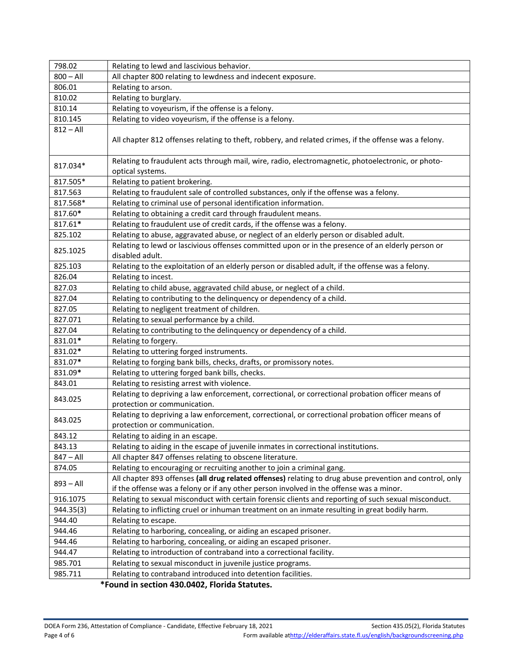| 798.02      | Relating to lewd and lascivious behavior.                                                                                                                                                           |  |
|-------------|-----------------------------------------------------------------------------------------------------------------------------------------------------------------------------------------------------|--|
| $800 - All$ | All chapter 800 relating to lewdness and indecent exposure.                                                                                                                                         |  |
| 806.01      | Relating to arson.                                                                                                                                                                                  |  |
| 810.02      | Relating to burglary.                                                                                                                                                                               |  |
| 810.14      | Relating to voyeurism, if the offense is a felony.                                                                                                                                                  |  |
| 810.145     | Relating to video voyeurism, if the offense is a felony.                                                                                                                                            |  |
| $812 - All$ | All chapter 812 offenses relating to theft, robbery, and related crimes, if the offense was a felony.                                                                                               |  |
|             |                                                                                                                                                                                                     |  |
| 817.034*    | Relating to fraudulent acts through mail, wire, radio, electromagnetic, photoelectronic, or photo-<br>optical systems.                                                                              |  |
| 817.505*    | Relating to patient brokering.                                                                                                                                                                      |  |
| 817.563     | Relating to fraudulent sale of controlled substances, only if the offense was a felony.                                                                                                             |  |
| 817.568*    | Relating to criminal use of personal identification information.                                                                                                                                    |  |
| 817.60*     | Relating to obtaining a credit card through fraudulent means.                                                                                                                                       |  |
| 817.61*     | Relating to fraudulent use of credit cards, if the offense was a felony.                                                                                                                            |  |
| 825.102     | Relating to abuse, aggravated abuse, or neglect of an elderly person or disabled adult.                                                                                                             |  |
| 825.1025    | Relating to lewd or lascivious offenses committed upon or in the presence of an elderly person or<br>disabled adult.                                                                                |  |
| 825.103     | Relating to the exploitation of an elderly person or disabled adult, if the offense was a felony.                                                                                                   |  |
| 826.04      | Relating to incest.                                                                                                                                                                                 |  |
| 827.03      | Relating to child abuse, aggravated child abuse, or neglect of a child.                                                                                                                             |  |
| 827.04      | Relating to contributing to the delinquency or dependency of a child.                                                                                                                               |  |
| 827.05      | Relating to negligent treatment of children.                                                                                                                                                        |  |
| 827.071     | Relating to sexual performance by a child.                                                                                                                                                          |  |
| 827.04      | Relating to contributing to the delinquency or dependency of a child.                                                                                                                               |  |
| 831.01*     | Relating to forgery.                                                                                                                                                                                |  |
| 831.02*     | Relating to uttering forged instruments.                                                                                                                                                            |  |
| 831.07*     | Relating to forging bank bills, checks, drafts, or promissory notes.                                                                                                                                |  |
| 831.09*     | Relating to uttering forged bank bills, checks.                                                                                                                                                     |  |
| 843.01      | Relating to resisting arrest with violence.                                                                                                                                                         |  |
| 843.025     | Relating to depriving a law enforcement, correctional, or correctional probation officer means of<br>protection or communication.                                                                   |  |
|             | Relating to depriving a law enforcement, correctional, or correctional probation officer means of                                                                                                   |  |
| 843.025     | protection or communication.                                                                                                                                                                        |  |
| 843.12      | Relating to aiding in an escape.                                                                                                                                                                    |  |
| 843.13      | Relating to aiding in the escape of juvenile inmates in correctional institutions.                                                                                                                  |  |
| $847 - All$ | All chapter 847 offenses relating to obscene literature.                                                                                                                                            |  |
| 874.05      | Relating to encouraging or recruiting another to join a criminal gang.                                                                                                                              |  |
| $893 - All$ | All chapter 893 offenses (all drug related offenses) relating to drug abuse prevention and control, only<br>if the offense was a felony or if any other person involved in the offense was a minor. |  |
| 916.1075    | Relating to sexual misconduct with certain forensic clients and reporting of such sexual misconduct.                                                                                                |  |
| 944.35(3)   | Relating to inflicting cruel or inhuman treatment on an inmate resulting in great bodily harm.                                                                                                      |  |
| 944.40      | Relating to escape.                                                                                                                                                                                 |  |
| 944.46      | Relating to harboring, concealing, or aiding an escaped prisoner.                                                                                                                                   |  |
| 944.46      | Relating to harboring, concealing, or aiding an escaped prisoner.                                                                                                                                   |  |
| 944.47      | Relating to introduction of contraband into a correctional facility.                                                                                                                                |  |
| 985.701     | Relating to sexual misconduct in juvenile justice programs.                                                                                                                                         |  |
| 985.711     | Relating to contraband introduced into detention facilities.                                                                                                                                        |  |
|             |                                                                                                                                                                                                     |  |

**\*Found in section 430.0402, Florida Statutes.**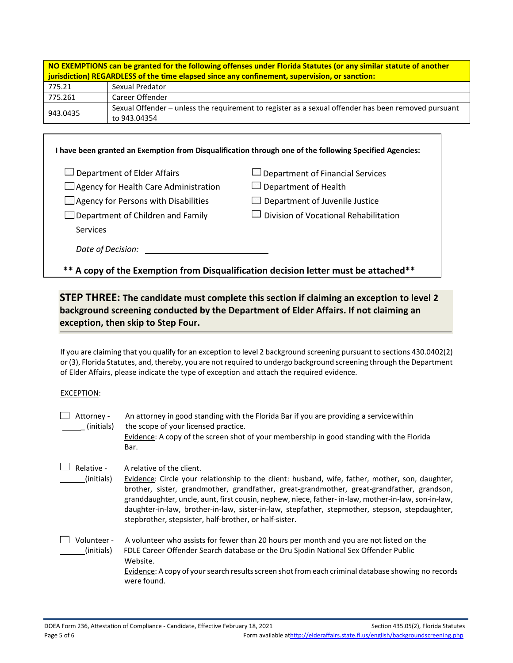| NO EXEMPTIONS can be granted for the following offenses under Florida Statutes (or any similar statute of another<br>jurisdiction) REGARDLESS of the time elapsed since any confinement, supervision, or sanction: |                                                                                                                     |  |
|--------------------------------------------------------------------------------------------------------------------------------------------------------------------------------------------------------------------|---------------------------------------------------------------------------------------------------------------------|--|
| 775.21                                                                                                                                                                                                             | Sexual Predator                                                                                                     |  |
| 775.261                                                                                                                                                                                                            | Career Offender                                                                                                     |  |
| 943.0435                                                                                                                                                                                                           | Sexual Offender - unless the requirement to register as a sexual offender has been removed pursuant<br>to 943.04354 |  |

| $\square$ Department of Elder Affairs | $\Box$ Department of Financial Services |
|---------------------------------------|-----------------------------------------|
| Agency for Health Care Administration | $\Box$ Department of Health             |
| Agency for Persons with Disabilities  | $\Box$ Department of Juvenile Justice   |
| Department of Children and Family     | Division of Vocational Rehabilitation   |
| <b>Services</b>                       |                                         |
| Date of Decision:                     |                                         |

## **STEP THREE: The candidate must complete this section if claiming an exception to level 2 background screening conducted by the Department of Elder Affairs. If not claiming an exception, then skip to Step Four.**

If you are claiming that you qualify for an exception to level 2 background screening pursuant to sections 430.0402(2) or (3), Florida Statutes, and, thereby, you are not required to undergo background screening through the Department of Elder Affairs, please indicate the type of exception and attach the required evidence.

#### EXCEPTION:

| Attorney -<br>(initials)  | An attorney in good standing with the Florida Bar if you are providing a service within<br>the scope of your licensed practice.<br>Evidence: A copy of the screen shot of your membership in good standing with the Florida<br>Bar.                                                                                                                                                                                                                                                           |
|---------------------------|-----------------------------------------------------------------------------------------------------------------------------------------------------------------------------------------------------------------------------------------------------------------------------------------------------------------------------------------------------------------------------------------------------------------------------------------------------------------------------------------------|
| Relative -<br>(initials)  | A relative of the client.<br>Evidence: Circle your relationship to the client: husband, wife, father, mother, son, daughter,<br>brother, sister, grandmother, grandfather, great-grandmother, great-grandfather, grandson,<br>granddaughter, uncle, aunt, first cousin, nephew, niece, father- in-law, mother-in-law, son-in-law,<br>daughter-in-law, brother-in-law, sister-in-law, stepfather, stepmother, stepson, stepdaughter,<br>stepbrother, stepsister, half-brother, or half-sister. |
| Volunteer -<br>(initials) | A volunteer who assists for fewer than 20 hours per month and you are not listed on the<br>FDLE Career Offender Search database or the Dru Sjodin National Sex Offender Public<br>Website.<br>Evidence: A copy of your search results screen shot from each criminal database showing no records<br>were found.                                                                                                                                                                               |